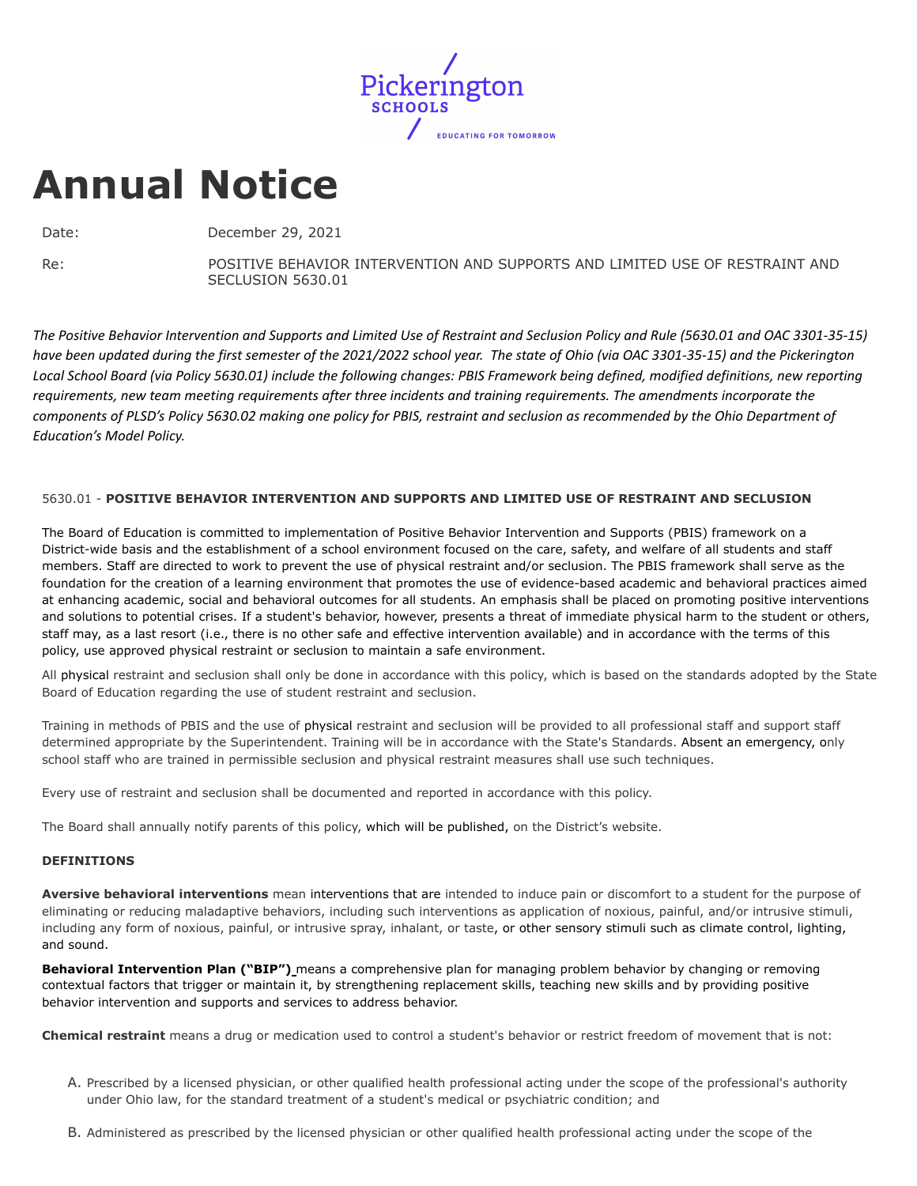

# **Annual Notice**

Date: December 29, 2021

Re: POSITIVE BEHAVIOR INTERVENTION AND SUPPORTS AND LIMITED USE OF RESTRAINT AND SECLUSION 5630.01

The Positive Behavior Intervention and Supports and Limited Use of Restraint and Seclusion Policy and Rule (5630.01 and OAC 3301-35-15) have been updated during the first semester of the 2021/2022 school year. The state of Ohio (via OAC 3301-35-15) and the Pickerington Local School Board (via Policy 5630.01) include the following changes: PBIS Framework being defined, modified definitions, new reporting requirements, new team meeting requirements after three incidents and training requirements. The amendments incorporate the components of PLSD's Policy 5630.02 making one policy for PBIS, restraint and seclusion as recommended by the Ohio Department of *Education's Model Policy.*

# 5630.01 - **POSITIVE BEHAVIOR INTERVENTION AND SUPPORTS AND LIMITED USE OF RESTRAINT AND SECLUSION**

The Board of Education is committed to implementation of Positive Behavior Intervention and Supports (PBIS) framework on a District-wide basis and the establishment of a school environment focused on the care, safety, and welfare of all students and staff members. Staff are directed to work to prevent the use of physical restraint and/or seclusion. The PBIS framework shall serve as the foundation for the creation of a learning environment that promotes the use of evidence-based academic and behavioral practices aimed at enhancing academic, social and behavioral outcomes for all students. An emphasis shall be placed on promoting positive interventions and solutions to potential crises. If a student's behavior, however, presents a threat of immediate physical harm to the student or others, staff may, as a last resort (i.e., there is no other safe and effective intervention available) and in accordance with the terms of this policy, use approved physical restraint or seclusion to maintain a safe environment.

All physical restraint and seclusion shall only be done in accordance with this policy, which is based on the standards adopted by the State Board of Education regarding the use of student restraint and seclusion.

Training in methods of PBIS and the use of physical restraint and seclusion will be provided to all professional staff and support staff determined appropriate by the Superintendent. Training will be in accordance with the State's Standards. Absent an emergency, only school staff who are trained in permissible seclusion and physical restraint measures shall use such techniques.

Every use of restraint and seclusion shall be documented and reported in accordance with this policy.

The Board shall annually notify parents of this policy, which will be published, on the District's website.

# **DEFINITIONS**

**Aversive behavioral interventions** mean interventions that are intended to induce pain or discomfort to a student for the purpose of eliminating or reducing maladaptive behaviors, including such interventions as application of noxious, painful, and/or intrusive stimuli, including any form of noxious, painful, or intrusive spray, inhalant, or taste, or other sensory stimuli such as climate control, lighting, and sound.

**Behavioral Intervention Plan ("BIP")** means a comprehensive plan for managing problem behavior by changing or removing contextual factors that trigger or maintain it, by strengthening replacement skills, teaching new skills and by providing positive behavior intervention and supports and services to address behavior.

**Chemical restraint** means a drug or medication used to control a student's behavior or restrict freedom of movement that is not:

- A. Prescribed by a licensed physician, or other qualified health professional acting under the scope of the professional's authority under Ohio law, for the standard treatment of a student's medical or psychiatric condition; and
- B. Administered as prescribed by the licensed physician or other qualified health professional acting under the scope of the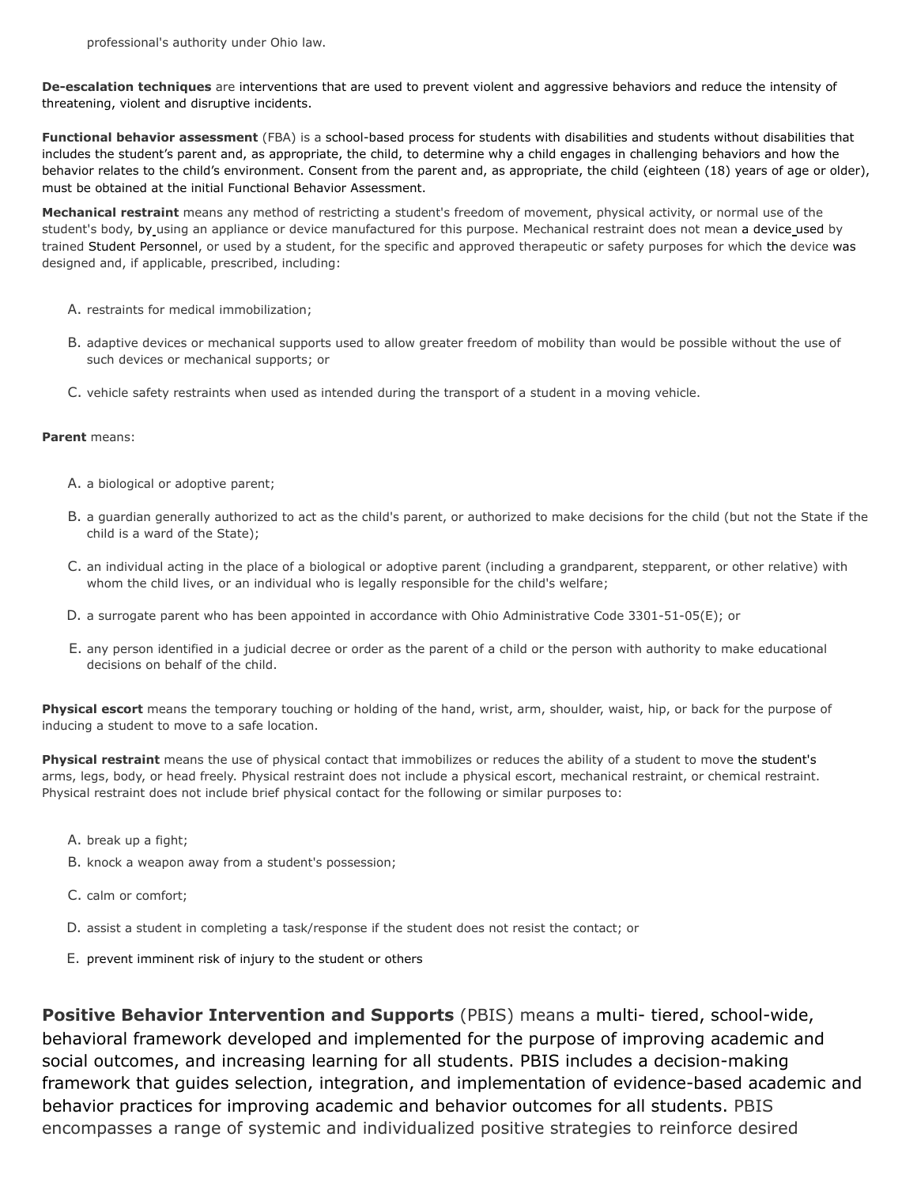**De-escalation techniques** are interventions that are used to prevent violent and aggressive behaviors and reduce the intensity of threatening, violent and disruptive incidents.

**Functional behavior assessment** (FBA) is a school-based process for students with disabilities and students without disabilities that includes the student's parent and, as appropriate, the child, to determine why a child engages in challenging behaviors and how the behavior relates to the child's environment. Consent from the parent and, as appropriate, the child (eighteen (18) years of age or older), must be obtained at the initial Functional Behavior Assessment.

**Mechanical restraint** means any method of restricting a student's freedom of movement, physical activity, or normal use of the student's body, by using an appliance or device manufactured for this purpose. Mechanical restraint does not mean a device used by trained Student Personnel, or used by a student, for the specific and approved therapeutic or safety purposes for which the device was designed and, if applicable, prescribed, including:

- A. restraints for medical immobilization;
- B. adaptive devices or mechanical supports used to allow greater freedom of mobility than would be possible without the use of such devices or mechanical supports; or
- C. vehicle safety restraints when used as intended during the transport of a student in a moving vehicle.

## **Parent** means:

- A. a biological or adoptive parent;
- B. a guardian generally authorized to act as the child's parent, or authorized to make decisions for the child (but not the State if the child is a ward of the State);
- C. an individual acting in the place of a biological or adoptive parent (including a grandparent, stepparent, or other relative) with whom the child lives, or an individual who is legally responsible for the child's welfare;
- D. a surrogate parent who has been appointed in accordance with Ohio Administrative Code 3301-51-05(E); or
- E. any person identified in a judicial decree or order as the parent of a child or the person with authority to make educational decisions on behalf of the child.

**Physical escort** means the temporary touching or holding of the hand, wrist, arm, shoulder, waist, hip, or back for the purpose of inducing a student to move to a safe location.

**Physical restraint** means the use of physical contact that immobilizes or reduces the ability of a student to move the student's arms, legs, body, or head freely. Physical restraint does not include a physical escort, mechanical restraint, or chemical restraint. Physical restraint does not include brief physical contact for the following or similar purposes to:

- A. break up a fight;
- B. knock a weapon away from a student's possession;
- C. calm or comfort;
- D. assist a student in completing a task/response if the student does not resist the contact; or
- E. prevent imminent risk of injury to the student or others

**Positive Behavior Intervention and Supports** (PBIS) means a multi- tiered, school-wide, behavioral framework developed and implemented for the purpose of improving academic and social outcomes, and increasing learning for all students. PBIS includes a decision-making framework that guides selection, integration, and implementation of evidence-based academic and behavior practices for improving academic and behavior outcomes for all students. PBIS encompasses a range of systemic and individualized positive strategies to reinforce desired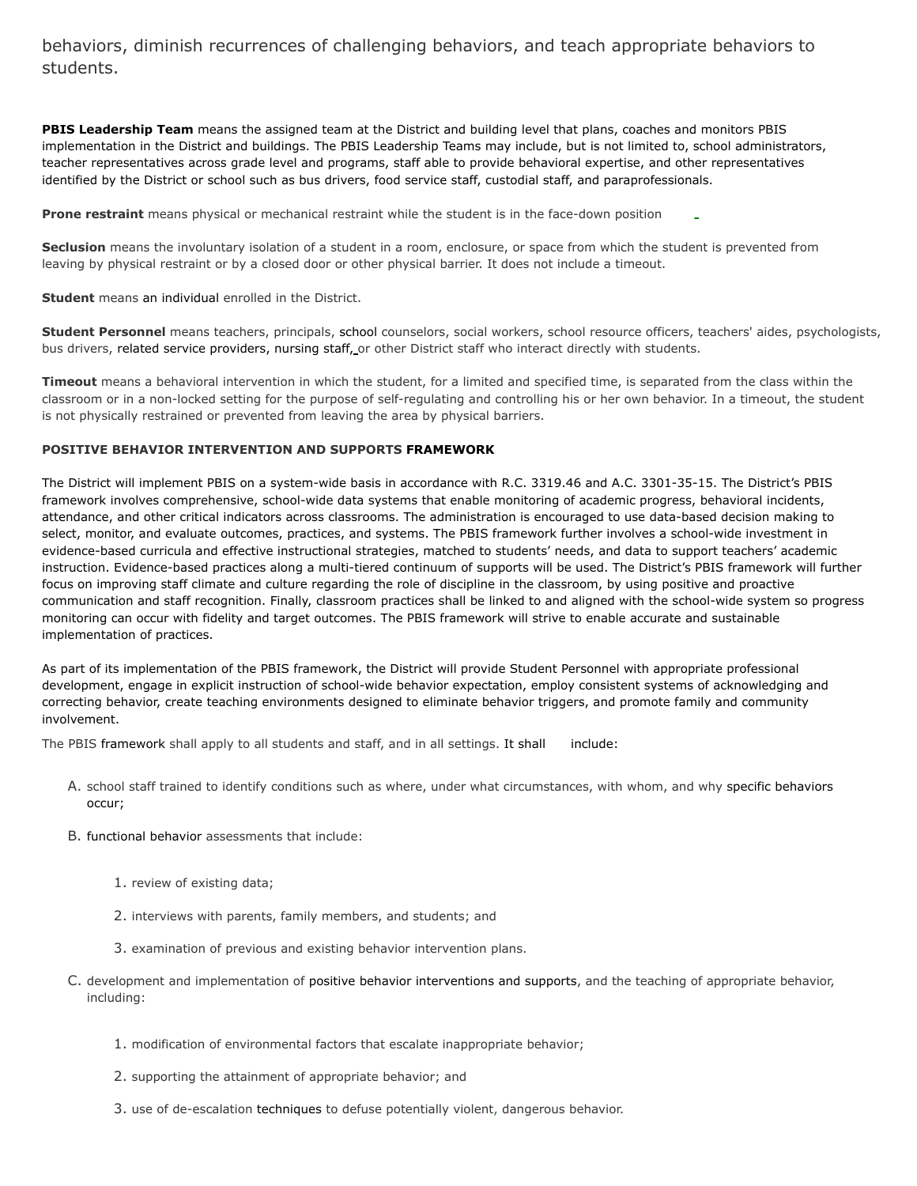behaviors, diminish recurrences of challenging behaviors, and teach appropriate behaviors to students.

**PBIS Leadership Team** means the assigned team at the District and building level that plans, coaches and monitors PBIS implementation in the District and buildings. The PBIS Leadership Teams may include, but is not limited to, school administrators, teacher representatives across grade level and programs, staff able to provide behavioral expertise, and other representatives identified by the District or school such as bus drivers, food service staff, custodial staff, and paraprofessionals.

**Prone restraint** means physical or mechanical restraint while the student is in the face-down position

**Seclusion** means the involuntary isolation of a student in a room, enclosure, or space from which the student is prevented from leaving by physical restraint or by a closed door or other physical barrier. It does not include a timeout.

**Student** means an individual enrolled in the District.

**Student Personnel** means teachers, principals, school counselors, social workers, school resource officers, teachers' aides, psychologists, bus drivers, related service providers, nursing staff, or other District staff who interact directly with students.

**Timeout** means a behavioral intervention in which the student, for a limited and specified time, is separated from the class within the classroom or in a non-locked setting for the purpose of self-regulating and controlling his or her own behavior. In a timeout, the student is not physically restrained or prevented from leaving the area by physical barriers.

#### **POSITIVE BEHAVIOR INTERVENTION AND SUPPORTS FRAMEWORK**

The District will implement PBIS on a system-wide basis in accordance with R.C. 3319.46 and A.C. 3301-35-15. The District's PBIS framework involves comprehensive, school-wide data systems that enable monitoring of academic progress, behavioral incidents, attendance, and other critical indicators across classrooms. The administration is encouraged to use data-based decision making to select, monitor, and evaluate outcomes, practices, and systems. The PBIS framework further involves a school-wide investment in evidence-based curricula and effective instructional strategies, matched to students' needs, and data to support teachers' academic instruction. Evidence-based practices along a multi-tiered continuum of supports will be used. The District's PBIS framework will further focus on improving staff climate and culture regarding the role of discipline in the classroom, by using positive and proactive communication and staff recognition. Finally, classroom practices shall be linked to and aligned with the school-wide system so progress monitoring can occur with fidelity and target outcomes. The PBIS framework will strive to enable accurate and sustainable implementation of practices.

As part of its implementation of the PBIS framework, the District will provide Student Personnel with appropriate professional development, engage in explicit instruction of school-wide behavior expectation, employ consistent systems of acknowledging and correcting behavior, create teaching environments designed to eliminate behavior triggers, and promote family and community involvement.

The PBIS framework shall apply to all students and staff, and in all settings. It shall include:

- A. school staff trained to identify conditions such as where, under what circumstances, with whom, and why specific behaviors occur;
- B. functional behavior assessments that include:
	- 1. review of existing data;
	- 2. interviews with parents, family members, and students; and
	- 3. examination of previous and existing behavior intervention plans.
- C. development and implementation of positive behavior interventions and supports, and the teaching of appropriate behavior, including:
	- 1. modification of environmental factors that escalate inappropriate behavior;
	- 2. supporting the attainment of appropriate behavior; and
	- 3. use of de-escalation techniques to defuse potentially violent, dangerous behavior.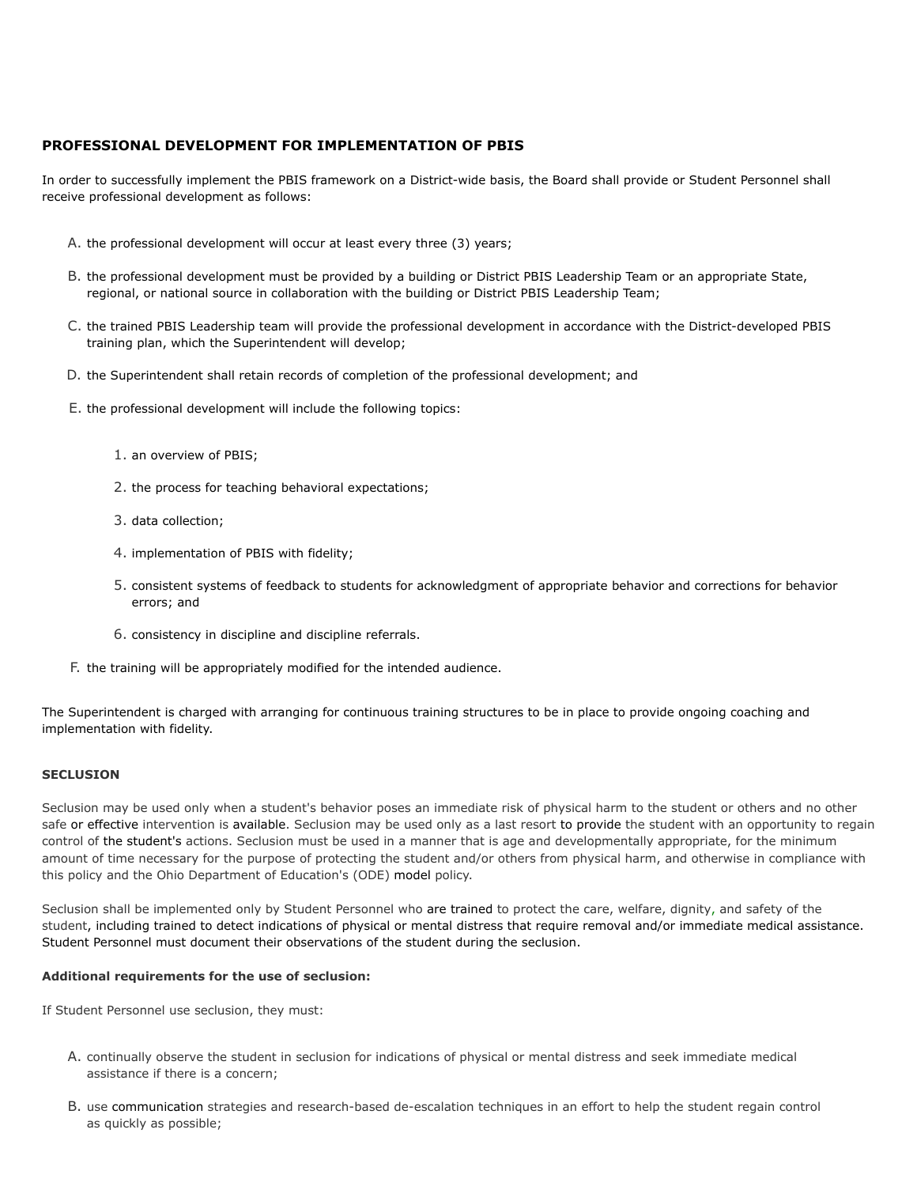# **PROFESSIONAL DEVELOPMENT FOR IMPLEMENTATION OF PBIS**

In order to successfully implement the PBIS framework on a District-wide basis, the Board shall provide or Student Personnel shall receive professional development as follows:

- A. the professional development will occur at least every three (3) years;
- B. the professional development must be provided by a building or District PBIS Leadership Team or an appropriate State, regional, or national source in collaboration with the building or District PBIS Leadership Team;
- C. the trained PBIS Leadership team will provide the professional development in accordance with the District-developed PBIS training plan, which the Superintendent will develop;
- D. the Superintendent shall retain records of completion of the professional development; and
- E. the professional development will include the following topics:
	- 1. an overview of PBIS;
	- 2. the process for teaching behavioral expectations;
	- 3. data collection;
	- 4. implementation of PBIS with fidelity;
	- 5. consistent systems of feedback to students for acknowledgment of appropriate behavior and corrections for behavior errors; and
	- 6. consistency in discipline and discipline referrals.
- F. the training will be appropriately modified for the intended audience.

The Superintendent is charged with arranging for continuous training structures to be in place to provide ongoing coaching and implementation with fidelity.

## **SECLUSION**

Seclusion may be used only when a student's behavior poses an immediate risk of physical harm to the student or others and no other safe or effective intervention is available. Seclusion may be used only as a last resort to provide the student with an opportunity to regain control of the student's actions. Seclusion must be used in a manner that is age and developmentally appropriate, for the minimum amount of time necessary for the purpose of protecting the student and/or others from physical harm, and otherwise in compliance with this policy and the Ohio Department of Education's (ODE) model policy.

Seclusion shall be implemented only by Student Personnel who are trained to protect the care, welfare, dignity, and safety of the student, including trained to detect indications of physical or mental distress that require removal and/or immediate medical assistance. Student Personnel must document their observations of the student during the seclusion.

## **Additional requirements for the use of seclusion:**

If Student Personnel use seclusion, they must:

- A. continually observe the student in seclusion for indications of physical or mental distress and seek immediate medical assistance if there is a concern;
- B. use communication strategies and research-based de-escalation techniques in an effort to help the student regain control as quickly as possible;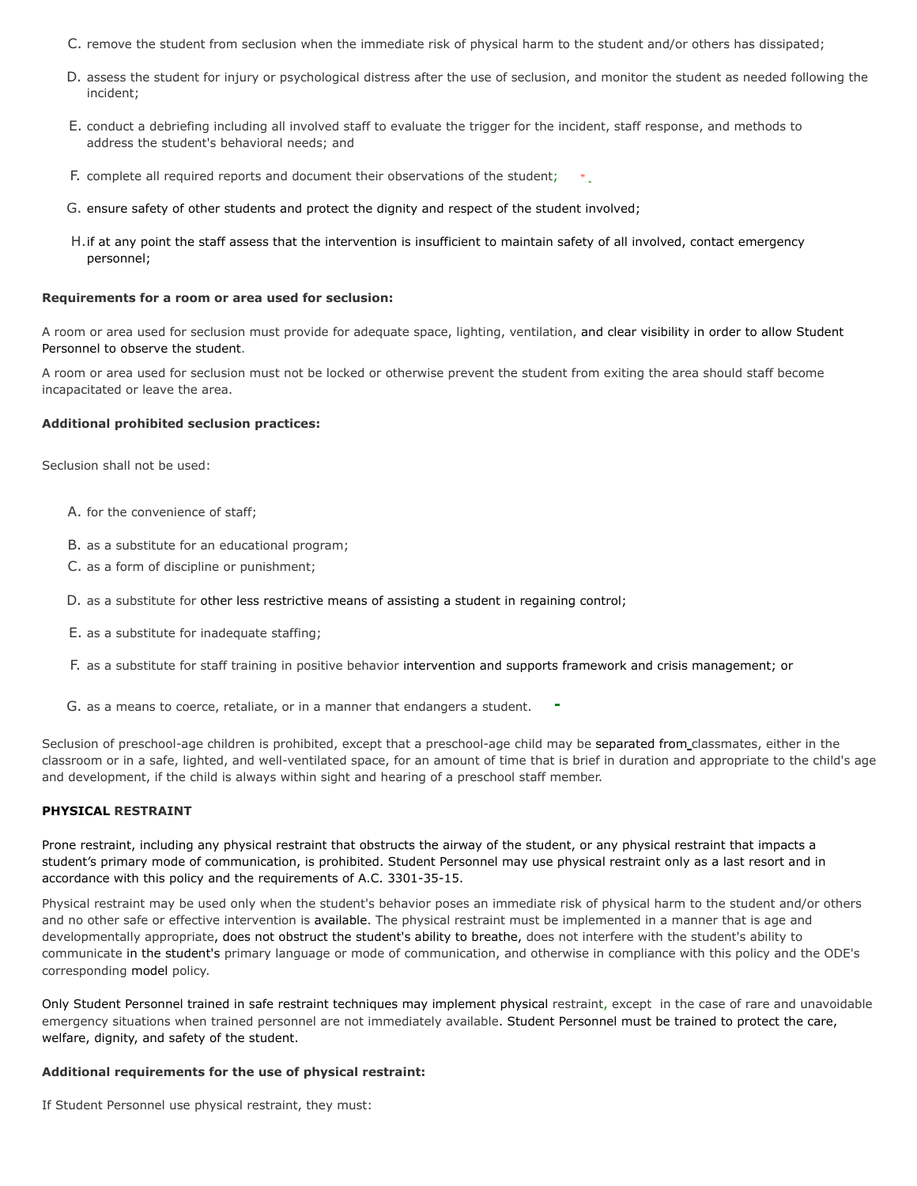- C. remove the student from seclusion when the immediate risk of physical harm to the student and/or others has dissipated;
- D. assess the student for injury or psychological distress after the use of seclusion, and monitor the student as needed following the incident;
- E. conduct a debriefing including all involved staff to evaluate the trigger for the incident, staff response, and methods to address the student's behavioral needs; and
- F. complete all required reports and document their observations of the student;
- G. ensure safety of other students and protect the dignity and respect of the student involved;
- H.if at any point the staff assess that the intervention is insufficient to maintain safety of all involved, contact emergency personnel;

## **Requirements for a room or area used for seclusion:**

A room or area used for seclusion must provide for adequate space, lighting, ventilation, and clear visibility in order to allow Student Personnel to observe the student.

A room or area used for seclusion must not be locked or otherwise prevent the student from exiting the area should staff become incapacitated or leave the area.

#### **Additional prohibited seclusion practices:**

Seclusion shall not be used:

- A. for the convenience of staff;
- B. as a substitute for an educational program;
- C. as a form of discipline or punishment;
- D. as a substitute for other less restrictive means of assisting a student in regaining control;
- E. as a substitute for inadequate staffing;
- F. as a substitute for staff training in positive behavior intervention and supports framework and crisis management; or
- G. as a means to coerce, retaliate, or in a manner that endangers a student.

Seclusion of preschool-age children is prohibited, except that a preschool-age child may be separated from classmates, either in the classroom or in a safe, lighted, and well-ventilated space, for an amount of time that is brief in duration and appropriate to the child's age and development, if the child is always within sight and hearing of a preschool staff member.

## **PHYSICAL RESTRAINT**

Prone restraint, including any physical restraint that obstructs the airway of the student, or any physical restraint that impacts a student's primary mode of communication, is prohibited. Student Personnel may use physical restraint only as a last resort and in accordance with this policy and the requirements of A.C. 3301-35-15.

Physical restraint may be used only when the student's behavior poses an immediate risk of physical harm to the student and/or others and no other safe or effective intervention is available. The physical restraint must be implemented in a manner that is age and developmentally appropriate, does not obstruct the student's ability to breathe, does not interfere with the student's ability to communicate in the student's primary language or mode of communication, and otherwise in compliance with this policy and the ODE's corresponding model policy.

Only Student Personnel trained in safe restraint techniques may implement physical restraint, except in the case of rare and unavoidable emergency situations when trained personnel are not immediately available. Student Personnel must be trained to protect the care, welfare, dignity, and safety of the student.

#### **Additional requirements for the use of physical restraint:**

If Student Personnel use physical restraint, they must: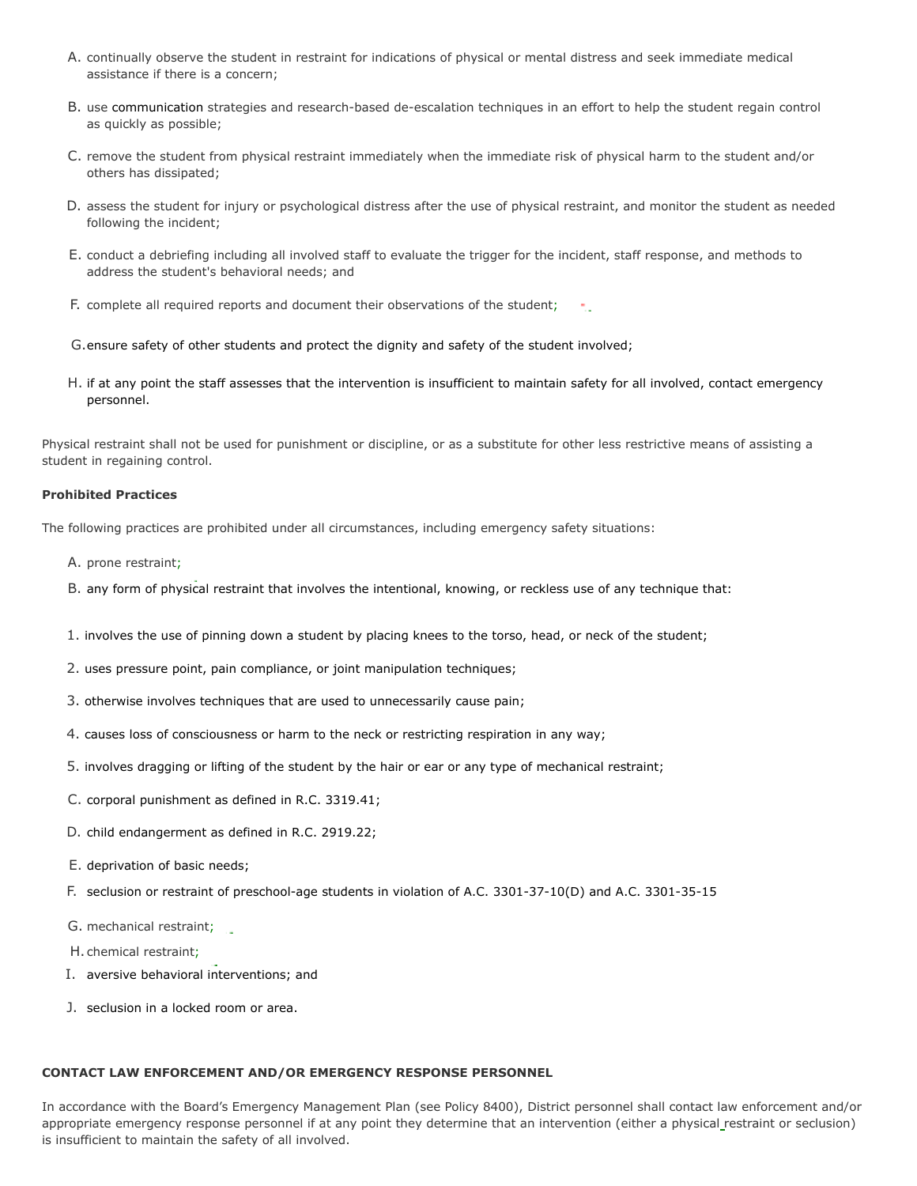- A. continually observe the student in restraint for indications of physical or mental distress and seek immediate medical assistance if there is a concern;
- B. use communication strategies and research-based de-escalation techniques in an effort to help the student regain control as quickly as possible;
- C. remove the student from physical restraint immediately when the immediate risk of physical harm to the student and/or others has dissipated;
- D. assess the student for injury or psychological distress after the use of physical restraint, and monitor the student as needed following the incident;
- E. conduct a debriefing including all involved staff to evaluate the trigger for the incident, staff response, and methods to address the student's behavioral needs; and
- F. complete all required reports and document their observations of the student;
- G.ensure safety of other students and protect the dignity and safety of the student involved;
- H. if at any point the staff assesses that the intervention is insufficient to maintain safety for all involved, contact emergency personnel.

Physical restraint shall not be used for punishment or discipline, or as a substitute for other less restrictive means of assisting a student in regaining control.

## **Prohibited Practices**

The following practices are prohibited under all circumstances, including emergency safety situations:

- A. prone restraint;
- B. any form of physical restraint that involves the intentional, knowing, or reckless use of any technique that:
- 1. involves the use of pinning down a student by placing knees to the torso, head, or neck of the student;
- 2. uses pressure point, pain compliance, or joint manipulation techniques;
- 3. otherwise involves techniques that are used to unnecessarily cause pain;
- 4. causes loss of consciousness or harm to the neck or restricting respiration in any way;
- 5. involves dragging or lifting of the student by the hair or ear or any type of mechanical restraint;
- C. corporal punishment as defined in R.C. 3319.41;
- D. child endangerment as defined in R.C. 2919.22;
- E. deprivation of basic needs;
- F. seclusion or restraint of preschool-age students in violation of A.C. 3301-37-10(D) and A.C. 3301-35-15
- G. mechanical restraint;
- H. chemical restraint;
- I. aversive behavioral interventions; and
- J. seclusion in a locked room or area.

## **CONTACT LAW ENFORCEMENT AND/OR EMERGENCY RESPONSE PERSONNEL**

In accordance with the Board's Emergency Management Plan (see Policy 8400), District personnel shall contact law enforcement and/or appropriate emergency response personnel if at any point they determine that an intervention (either a physical restraint or seclusion) is insufficient to maintain the safety of all involved.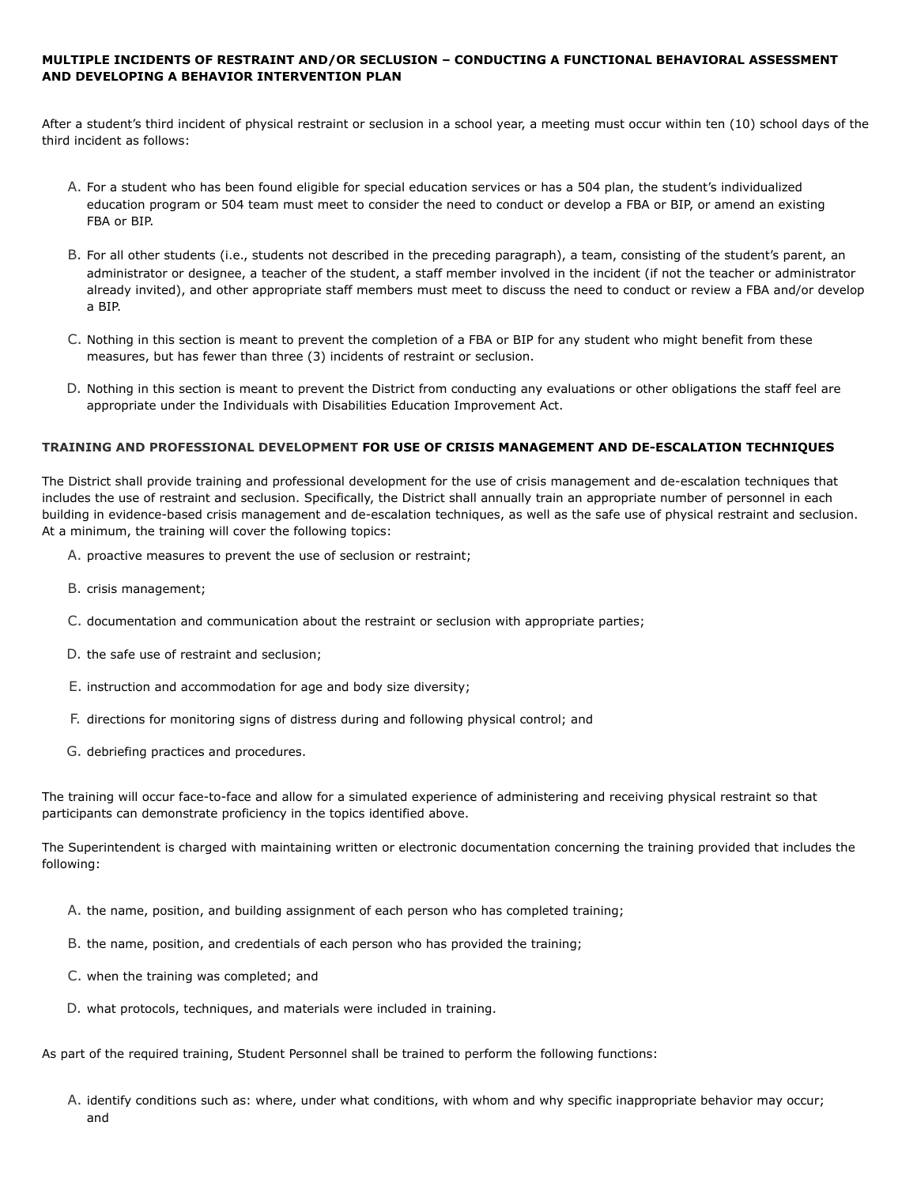# **MULTIPLE INCIDENTS OF RESTRAINT AND/OR SECLUSION – CONDUCTING A FUNCTIONAL BEHAVIORAL ASSESSMENT AND DEVELOPING A BEHAVIOR INTERVENTION PLAN**

After a student's third incident of physical restraint or seclusion in a school year, a meeting must occur within ten (10) school days of the third incident as follows:

- A. For a student who has been found eligible for special education services or has a 504 plan, the student's individualized education program or 504 team must meet to consider the need to conduct or develop a FBA or BIP, or amend an existing FBA or BIP.
- B. For all other students (i.e., students not described in the preceding paragraph), a team, consisting of the student's parent, an administrator or designee, a teacher of the student, a staff member involved in the incident (if not the teacher or administrator already invited), and other appropriate staff members must meet to discuss the need to conduct or review a FBA and/or develop a BIP.
- C. Nothing in this section is meant to prevent the completion of a FBA or BIP for any student who might benefit from these measures, but has fewer than three (3) incidents of restraint or seclusion.
- D. Nothing in this section is meant to prevent the District from conducting any evaluations or other obligations the staff feel are appropriate under the Individuals with Disabilities Education Improvement Act.

## **TRAINING AND PROFESSIONAL DEVELOPMENT FOR USE OF CRISIS MANAGEMENT AND DE-ESCALATION TECHNIQUES**

The District shall provide training and professional development for the use of crisis management and de-escalation techniques that includes the use of restraint and seclusion. Specifically, the District shall annually train an appropriate number of personnel in each building in evidence-based crisis management and de-escalation techniques, as well as the safe use of physical restraint and seclusion. At a minimum, the training will cover the following topics:

- A. proactive measures to prevent the use of seclusion or restraint;
- B. crisis management;
- C. documentation and communication about the restraint or seclusion with appropriate parties;
- D. the safe use of restraint and seclusion;
- E. instruction and accommodation for age and body size diversity;
- F. directions for monitoring signs of distress during and following physical control; and
- G. debriefing practices and procedures.

The training will occur face-to-face and allow for a simulated experience of administering and receiving physical restraint so that participants can demonstrate proficiency in the topics identified above.

The Superintendent is charged with maintaining written or electronic documentation concerning the training provided that includes the following:

- A. the name, position, and building assignment of each person who has completed training;
- B. the name, position, and credentials of each person who has provided the training;
- C. when the training was completed; and
- D. what protocols, techniques, and materials were included in training.

As part of the required training, Student Personnel shall be trained to perform the following functions:

A. identify conditions such as: where, under what conditions, with whom and why specific inappropriate behavior may occur; and